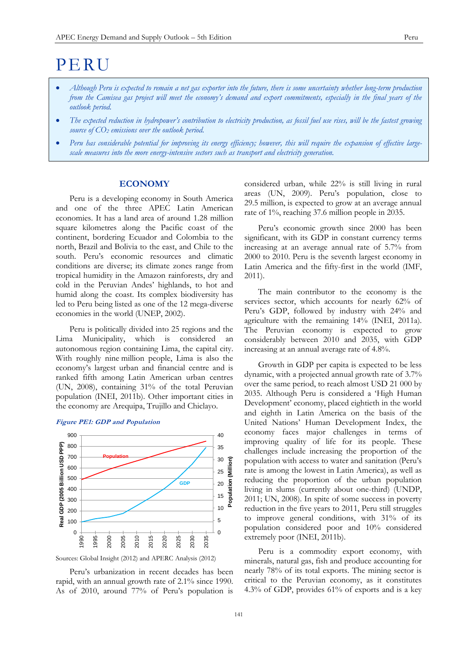# PERU

- *Although Peru is expected to remain a net gas exporter into the future, there is some uncertainty whether long-term production from the Camisea gas project will meet the economy's demand and export commitments, especially in the final years of the outlook period.*
- *The expected reduction in hydropower's contribution to electricity production, as fossil fuel use rises, will be the fastest growing source of CO<sup>2</sup> emissions over the outlook period.*
- *Peru has considerable potential for improving its energy efficiency; however, this will require the expansion of effective largescale measures into the more energy-intensive sectors such as transport and electricity generation.*

# **ECONOMY**

Peru is a developing economy in South America and one of the three APEC Latin American economies. It has a land area of around 1.28 million square kilometres along the Pacific coast of the continent, bordering Ecuador and Colombia to the north, Brazil and Bolivia to the east, and Chile to the south. Peru's economic resources and climatic conditions are diverse; its climate zones range from tropical humidity in the Amazon rainforests, dry and cold in the Peruvian Andes' highlands, to hot and humid along the coast. Its complex biodiversity has led to Peru being listed as one of the 12 mega-diverse economies in the world (UNEP, 2002).

Peru is politically divided into 25 regions and the Lima Municipality, which is considered an autonomous region containing Lima, the capital city. With roughly nine million people, Lima is also the economy's largest urban and financial centre and is ranked fifth among Latin American urban centres (UN, 2008), containing 31% of the total Peruvian population (INEI, 2011b). Other important cities in the economy are Arequipa, Trujillo and Chiclayo.

#### **Figure PE1: GDP and Population**



Sources: Global Insight (2012) and APERC Analysis (2012)

Peru's urbanization in recent decades has been rapid, with an annual growth rate of 2.1% since 1990. As of 2010, around 77% of Peru's population is considered urban, while 22% is still living in rural areas (UN, 2009). Peru's population, close to 29.5 million, is expected to grow at an average annual rate of 1%, reaching 37.6 million people in 2035.

Peru's economic growth since 2000 has been significant, with its GDP in constant currency terms increasing at an average annual rate of 5.7% from 2000 to 2010. Peru is the seventh largest economy in Latin America and the fifty-first in the world (IMF, 2011).

The main contributor to the economy is the services sector, which accounts for nearly 62% of Peru's GDP, followed by industry with 24% and agriculture with the remaining 14% (INEI, 2011a). The Peruvian economy is expected to grow considerably between 2010 and 2035, with GDP increasing at an annual average rate of 4.8%.

Growth in GDP per capita is expected to be less dynamic, with a projected annual growth rate of 3.7% over the same period, to reach almost USD 21 000 by 2035. Although Peru is considered a 'High Human Development' economy, placed eightieth in the world and eighth in Latin America on the basis of the United Nations' Human Development Index, the economy faces major challenges in terms of improving quality of life for its people. These challenges include increasing the proportion of the population with access to water and sanitation (Peru's rate is among the lowest in Latin America), as well as reducing the proportion of the urban population living in slums (currently about one-third) (UNDP, 2011; UN, 2008). In spite of some success in poverty reduction in the five years to 2011, Peru still struggles to improve general conditions, with 31% of its population considered poor and 10% considered extremely poor (INEI, 2011b).

Peru is a commodity export economy, with minerals, natural gas, fish and produce accounting for nearly 78% of its total exports. The mining sector is critical to the Peruvian economy, as it constitutes 4.3% of GDP, provides 61% of exports and is a key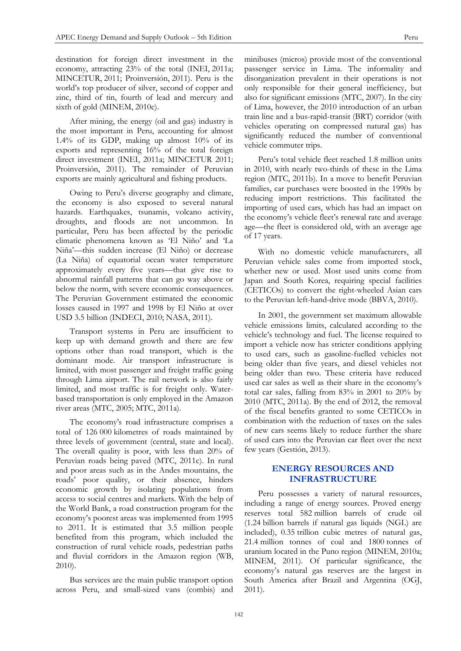destination for foreign direct investment in the economy, attracting 23% of the total (INEI, 2011a; MINCETUR, 2011; Proinversión, 2011). Peru is the world's top producer of silver, second of copper and zinc, third of tin, fourth of lead and mercury and sixth of gold (MINEM, 2010c).

After mining, the energy (oil and gas) industry is the most important in Peru, accounting for almost 1.4% of its GDP, making up almost 10% of its exports and representing 16% of the total foreign direct investment (INEI, 2011a; MINCETUR 2011; Proinversión, 2011). The remainder of Peruvian exports are mainly agricultural and fishing products.

Owing to Peru's diverse geography and climate, the economy is also exposed to several natural hazards. Earthquakes, tsunamis, volcano activity, droughts, and floods are not uncommon. In particular, Peru has been affected by the periodic climatic phenomena known as 'El Niño' and 'La Niña'—this sudden increase (El Niño) or decrease (La Niña) of equatorial ocean water temperature approximately every five years—that give rise to abnormal rainfall patterns that can go way above or below the norm, with severe economic consequences. The Peruvian Government estimated the economic losses caused in 1997 and 1998 by El Niño at over USD 3.5 billion (INDECI, 2010; NASA, 2011).

Transport systems in Peru are insufficient to keep up with demand growth and there are few options other than road transport, which is the dominant mode. Air transport infrastructure is limited, with most passenger and freight traffic going through Lima airport. The rail network is also fairly limited, and most traffic is for freight only. Waterbased transportation is only employed in the Amazon river areas (MTC, 2005; MTC, 2011a).

The economy's road infrastructure comprises a total of 126 000 kilometres of roads maintained by three levels of government (central, state and local). The overall quality is poor, with less than 20% of Peruvian roads being paved (MTC, 2011c). In rural and poor areas such as in the Andes mountains, the roads' poor quality, or their absence, hinders economic growth by isolating populations from access to social centres and markets. With the help of the World Bank, a road construction program for the economy's poorest areas was implemented from 1995 to 2011. It is estimated that 3.5 million people benefited from this program, which included the construction of rural vehicle roads, pedestrian paths and fluvial corridors in the Amazon region (WB, 2010).

Bus services are the main public transport option across Peru, and small-sized vans (combis) and minibuses (micros) provide most of the conventional passenger service in Lima. The informality and disorganization prevalent in their operations is not only responsible for their general inefficiency, but also for significant emissions (MTC, 2007). In the city of Lima, however, the 2010 introduction of an urban train line and a bus-rapid-transit (BRT) corridor (with vehicles operating on compressed natural gas) has significantly reduced the number of conventional vehicle commuter trips.

Peru's total vehicle fleet reached 1.8 million units in 2010, with nearly two-thirds of these in the Lima region (MTC, 2011b). In a move to benefit Peruvian families, car purchases were boosted in the 1990s by reducing import restrictions. This facilitated the importing of used cars, which has had an impact on the economy's vehicle fleet's renewal rate and average age—the fleet is considered old, with an average age of 17 years.

With no domestic vehicle manufacturers, all Peruvian vehicle sales come from imported stock, whether new or used. Most used units come from Japan and South Korea, requiring special facilities (CETICOs) to convert the right-wheeled Asian cars to the Peruvian left-hand-drive mode (BBVA, 2010).

In 2001, the government set maximum allowable vehicle emissions limits, calculated according to the vehicle's technology and fuel. The license required to import a vehicle now has stricter conditions applying to used cars, such as gasoline-fuelled vehicles not being older than five years, and diesel vehicles not being older than two. These criteria have reduced used car sales as well as their share in the economy's total car sales, falling from 83% in 2001 to 20% by 2010 (MTC, 2011a). By the end of 2012, the removal of the fiscal benefits granted to some CETICOs in combination with the reduction of taxes on the sales of new cars seems likely to reduce further the share of used cars into the Peruvian car fleet over the next few years (Gestión, 2013).

# **ENERGY RESOURCES AND INFRASTRUCTURE**

Peru possesses a variety of natural resources, including a range of energy sources. Proved energy reserves total 582 million barrels of crude oil (1.24 billion barrels if natural gas liquids (NGL) are included), 0.35 trillion cubic metres of natural gas, 21.4 million tonnes of coal and 1800 tonnes of uranium located in the Puno region (MINEM, 2010a; MINEM, 2011). Of particular significance, the economy's natural gas reserves are the largest in South America after Brazil and Argentina (OGJ, 2011).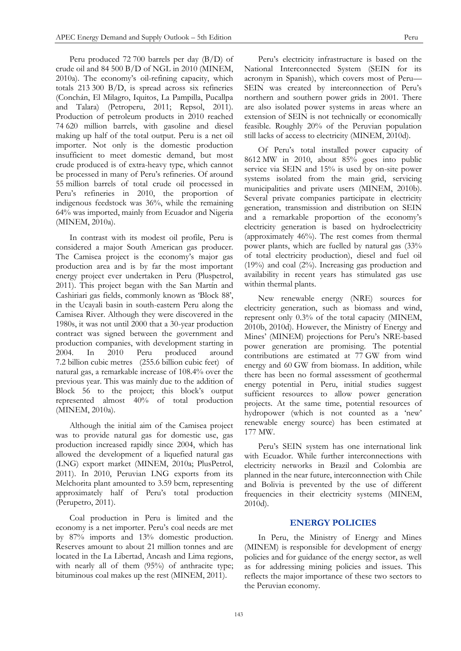Peru produced 72 700 barrels per day (B/D) of crude oil and 84 500 B/D of NGL in 2010 (MINEM, 2010a). The economy's oil-refining capacity, which totals 213 300 B/D, is spread across six refineries (Conchán, El Milagro, Iquitos, La Pampilla, Pucallpa and Talara) (Petroperu, 2011; Repsol, 2011). Production of petroleum products in 2010 reached 74 620 million barrels, with gasoline and diesel making up half of the total output. Peru is a net oil importer. Not only is the domestic production insufficient to meet domestic demand, but most crude produced is of extra-heavy type, which cannot be processed in many of Peru's refineries. Of around 55 million barrels of total crude oil processed in Peru's refineries in 2010, the proportion of indigenous feedstock was 36%, while the remaining 64% was imported, mainly from Ecuador and Nigeria (MINEM, 2010a).

In contrast with its modest oil profile, Peru is considered a major South American gas producer. The Camisea project is the economy's major gas production area and is by far the most important energy project ever undertaken in Peru (Pluspetrol, 2011). This project began with the San Martín and Cashiriari gas fields, commonly known as 'Block 88', in the Ucayali basin in south-eastern Peru along the Camisea River. Although they were discovered in the 1980s, it was not until 2000 that a 30-year production contract was signed between the government and production companies, with development starting in 2004. In 2010 Peru produced around 7.2 billion cubic metres (255.6 billion cubic feet) of natural gas, a remarkable increase of 108.4% over the previous year. This was mainly due to the addition of Block 56 to the project; this block's output represented almost 40% of total production (MINEM, 2010a).

Although the initial aim of the Camisea project was to provide natural gas for domestic use, gas production increased rapidly since 2004, which has allowed the development of a liquefied natural gas (LNG) export market (MINEM, 2010a; PlusPetrol, 2011). In 2010, Peruvian LNG exports from its Melchorita plant amounted to 3.59 bcm, representing approximately half of Peru's total production (Perupetro, 2011).

Coal production in Peru is limited and the economy is a net importer. Peru's coal needs are met by 87% imports and 13% domestic production. Reserves amount to about 21 million tonnes and are located in the La Libertad, Ancash and Lima regions, with nearly all of them (95%) of anthracite type; bituminous coal makes up the rest (MINEM, 2011).

Peru's electricity infrastructure is based on the National Interconnected System (SEIN for its acronym in Spanish), which covers most of Peru— SEIN was created by interconnection of Peru's northern and southern power grids in 2001. There are also isolated power systems in areas where an extension of SEIN is not technically or economically feasible. Roughly 20% of the Peruvian population still lacks of access to electricity (MINEM, 2010d).

Of Peru's total installed power capacity of 8612 MW in 2010, about 85% goes into public service via SEIN and 15% is used by on-site power systems isolated from the main grid, servicing municipalities and private users (MINEM, 2010b). Several private companies participate in electricity generation, transmission and distribution on SEIN and a remarkable proportion of the economy's electricity generation is based on hydroelectricity (approximately 46%). The rest comes from thermal power plants, which are fuelled by natural gas (33% of total electricity production), diesel and fuel oil (19%) and coal (2%). Increasing gas production and availability in recent years has stimulated gas use within thermal plants.

New renewable energy (NRE) sources for electricity generation, such as biomass and wind, represent only 0.3% of the total capacity (MINEM, 2010b, 2010d). However, the Ministry of Energy and Mines' (MINEM) projections for Peru's NRE-based power generation are promising. The potential contributions are estimated at 77 GW from wind energy and 60 GW from biomass. In addition, while there has been no formal assessment of geothermal energy potential in Peru, initial studies suggest sufficient resources to allow power generation projects. At the same time, potential resources of hydropower (which is not counted as a 'new' renewable energy source) has been estimated at 177 MW.

Peru's SEIN system has one international link with Ecuador. While further interconnections with electricity networks in Brazil and Colombia are planned in the near future, interconnection with Chile and Bolivia is prevented by the use of different frequencies in their electricity systems (MINEM, 2010d).

# **ENERGY POLICIES**

In Peru, the Ministry of Energy and Mines (MINEM) is responsible for development of energy policies and for guidance of the energy sector, as well as for addressing mining policies and issues. This reflects the major importance of these two sectors to the Peruvian economy.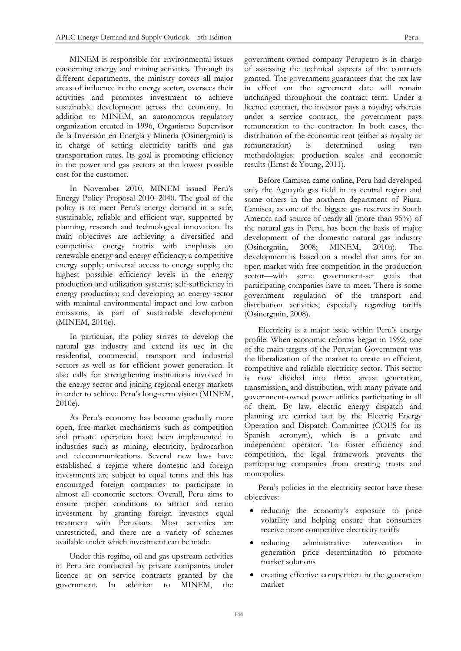MINEM is responsible for environmental issues concerning energy and mining activities. Through its different departments, the ministry covers all major areas of influence in the energy sector, oversees their activities and promotes investment to achieve sustainable development across the economy. In addition to MINEM, an autonomous regulatory organization created in 1996, Organismo Supervisor de la Inversión en Energía y Minería (Osinergmin) is in charge of setting electricity tariffs and gas transportation rates. Its goal is promoting efficiency in the power and gas sectors at the lowest possible cost for the customer.

In November 2010, MINEM issued Peru's Energy Policy Proposal 2010–2040. The goal of the policy is to meet Peru's energy demand in a safe, sustainable, reliable and efficient way, supported by planning, research and technological innovation. Its main objectives are achieving a diversified and competitive energy matrix with emphasis on renewable energy and energy efficiency; a competitive energy supply; universal access to energy supply; the highest possible efficiency levels in the energy production and utilization systems; self-sufficiency in energy production; and developing an energy sector with minimal environmental impact and low carbon emissions, as part of sustainable development (MINEM, 2010e).

In particular, the policy strives to develop the natural gas industry and extend its use in the residential, commercial, transport and industrial sectors as well as for efficient power generation. It also calls for strengthening institutions involved in the energy sector and joining regional energy markets in order to achieve Peru's long-term vision (MINEM, 2010e).

As Peru's economy has become gradually more open, free-market mechanisms such as competition and private operation have been implemented in industries such as mining, electricity, hydrocarbon and telecommunications. Several new laws have established a regime where domestic and foreign investments are subject to equal terms and this has encouraged foreign companies to participate in almost all economic sectors. Overall, Peru aims to ensure proper conditions to attract and retain investment by granting foreign investors equal treatment with Peruvians. Most activities are unrestricted, and there are a variety of schemes available under which investment can be made.

Under this regime, oil and gas upstream activities in Peru are conducted by private companies under licence or on service contracts granted by the government. In addition to MINEM, the

government-owned company Perupetro is in charge of assessing the technical aspects of the contracts granted. The government guarantees that the tax law in effect on the agreement date will remain unchanged throughout the contract term. Under a licence contract, the investor pays a royalty; whereas under a service contract, the government pays remuneration to the contractor. In both cases, the distribution of the economic rent (either as royalty or remuneration) is determined using two methodologies: production scales and economic results (Ernst & Young, 2011).

Before Camisea came online, Peru had developed only the Aguaytía gas field in its central region and some others in the northern department of Piura. Camisea, as one of the biggest gas reserves in South America and source of nearly all (more than 95%) of the natural gas in Peru, has been the basis of major development of the domestic natural gas industry (Osinergmin, 2008; MINEM, 2010a). The development is based on a model that aims for an open market with free competition in the production sector—with some government-set goals that participating companies have to meet. There is some government regulation of the transport and distribution activities, especially regarding tariffs (Osinergmin, 2008).

Electricity is a major issue within Peru's energy profile. When economic reforms began in 1992, one of the main targets of the Peruvian Government was the liberalization of the market to create an efficient, competitive and reliable electricity sector. This sector is now divided into three areas: generation, transmission, and distribution, with many private and government-owned power utilities participating in all of them. By law, electric energy dispatch and planning are carried out by the Electric Energy Operation and Dispatch Committee (COES for its Spanish acronym), which is a private and independent operator. To foster efficiency and competition, the legal framework prevents the participating companies from creating trusts and monopolies.

Peru's policies in the electricity sector have these objectives:

- reducing the economy's exposure to price volatility and helping ensure that consumers receive more competitive electricity tariffs
- reducing administrative intervention in generation price determination to promote market solutions
- creating effective competition in the generation market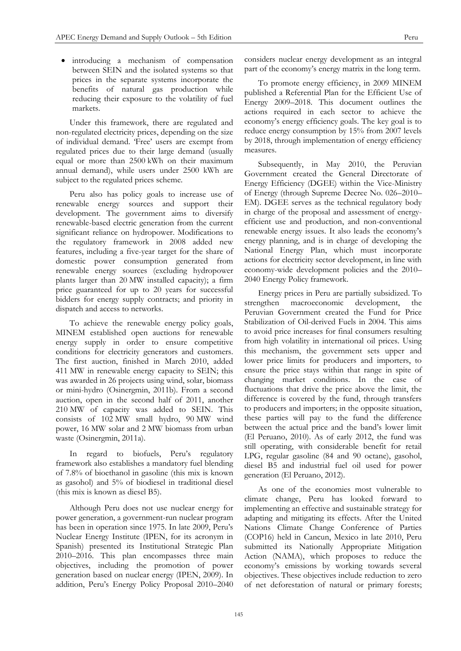introducing a mechanism of compensation between SEIN and the isolated systems so that prices in the separate systems incorporate the benefits of natural gas production while reducing their exposure to the volatility of fuel markets.

Under this framework, there are regulated and non-regulated electricity prices, depending on the size of individual demand. 'Free' users are exempt from regulated prices due to their large demand (usually equal or more than 2500 kWh on their maximum annual demand), while users under 2500 kWh are subject to the regulated prices scheme.

Peru also has policy goals to increase use of renewable energy sources and support their development. The government aims to diversify renewable-based electric generation from the current significant reliance on hydropower. Modifications to the regulatory framework in 2008 added new features, including a five-year target for the share of domestic power consumption generated from renewable energy sources (excluding hydropower plants larger than 20 MW installed capacity); a firm price guaranteed for up to 20 years for successful bidders for energy supply contracts; and priority in dispatch and access to networks.

To achieve the renewable energy policy goals, MINEM established open auctions for renewable energy supply in order to ensure competitive conditions for electricity generators and customers. The first auction, finished in March 2010, added 411 MW in renewable energy capacity to SEIN; this was awarded in 26 projects using wind, solar, biomass or mini-hydro (Osinergmin, 2011b). From a second auction, open in the second half of 2011, another 210 MW of capacity was added to SEIN. This consists of 102 MW small hydro, 90 MW wind power, 16 MW solar and 2 MW biomass from urban waste (Osinergmin, 2011a).

In regard to biofuels, Peru's regulatory framework also establishes a mandatory fuel blending of 7.8% of bioethanol in gasoline (this mix is known as gasohol) and 5% of biodiesel in traditional diesel (this mix is known as diesel B5).

Although Peru does not use nuclear energy for power generation, a government-run nuclear program has been in operation since 1975. In late 2009, Peru's Nuclear Energy Institute (IPEN, for its acronym in Spanish) presented its Institutional Strategic Plan 2010–2016. This plan encompasses three main objectives, including the promotion of power generation based on nuclear energy (IPEN, 2009). In addition, Peru's Energy Policy Proposal 2010–2040

considers nuclear energy development as an integral part of the economy's energy matrix in the long term.

To promote energy efficiency, in 2009 MINEM published a Referential Plan for the Efficient Use of Energy 2009–2018. This document outlines the actions required in each sector to achieve the economy's energy efficiency goals. The key goal is to reduce energy consumption by 15% from 2007 levels by 2018, through implementation of energy efficiency measures.

Subsequently, in May 2010, the Peruvian Government created the General Directorate of Energy Efficiency (DGEE) within the Vice-Ministry of Energy (through Supreme Decree No. 026–2010– EM). DGEE serves as the technical regulatory body in charge of the proposal and assessment of energyefficient use and production, and non-conventional renewable energy issues. It also leads the economy's energy planning, and is in charge of developing the National Energy Plan, which must incorporate actions for electricity sector development, in line with economy-wide development policies and the 2010– 2040 Energy Policy framework.

Energy prices in Peru are partially subsidized. To strengthen macroeconomic development, the Peruvian Government created the Fund for Price Stabilization of Oil-derived Fuels in 2004. This aims to avoid price increases for final consumers resulting from high volatility in international oil prices. Using this mechanism, the government sets upper and lower price limits for producers and importers, to ensure the price stays within that range in spite of changing market conditions. In the case of fluctuations that drive the price above the limit, the difference is covered by the fund, through transfers to producers and importers; in the opposite situation, these parties will pay to the fund the difference between the actual price and the band's lower limit (El Peruano, 2010). As of early 2012, the fund was still operating, with considerable benefit for retail LPG, regular gasoline (84 and 90 octane), gasohol, diesel B5 and industrial fuel oil used for power generation (El Peruano, 2012).

As one of the economies most vulnerable to climate change, Peru has looked forward to implementing an effective and sustainable strategy for adapting and mitigating its effects. After the United Nations Climate Change Conference of Parties (COP16) held in Cancun, Mexico in late 2010, Peru submitted its Nationally Appropriate Mitigation Action (NAMA), which proposes to reduce the economy's emissions by working towards several objectives. These objectives include reduction to zero of net deforestation of natural or primary forests;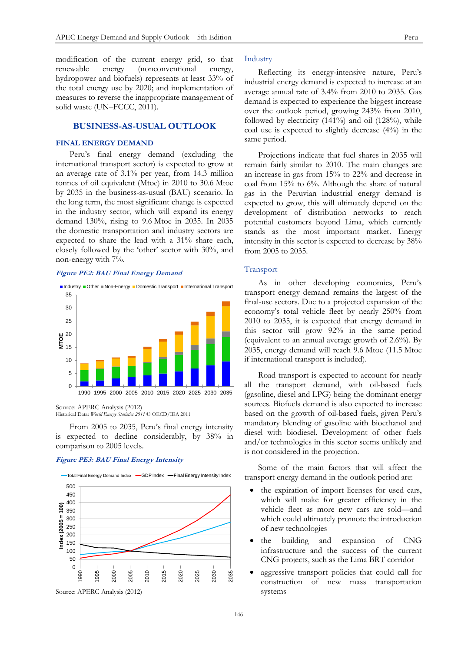modification of the current energy grid, so that renewable energy (nonconventional energy, hydropower and biofuels) represents at least 33% of the total energy use by 2020; and implementation of measures to reverse the inappropriate management of solid waste (UN–FCCC, 2011).

# **BUSINESS-AS-USUAL OUTLOOK**

# **FINAL ENERGY DEMAND**

Peru's final energy demand (excluding the international transport sector) is expected to grow at an average rate of 3.1% per year, from 14.3 million tonnes of oil equivalent (Mtoe) in 2010 to 30.6 Mtoe by 2035 in the business-as-usual (BAU) scenario. In the long term, the most significant change is expected in the industry sector, which will expand its energy demand 130%, rising to 9.6 Mtoe in 2035. In 2035 the domestic transportation and industry sectors are expected to share the lead with a 31% share each, closely followed by the 'other' sector with 30%, and non-energy with 7%.

#### **Figure PE2: BAU Final Energy Demand**



Source: APERC Analysis (2012) Historical Data: *World Energy Statistics 2011* © OECD/IEA 2011

From 2005 to 2035, Peru's final energy intensity is expected to decline considerably, by 38% in comparison to 2005 levels.

#### **Figure PE3: BAU Final Energy Intensity**



Industry

Reflecting its energy-intensive nature, Peru's industrial energy demand is expected to increase at an average annual rate of 3.4% from 2010 to 2035. Gas demand is expected to experience the biggest increase over the outlook period, growing 243% from 2010, followed by electricity  $(141\%)$  and oil  $(128\%)$ , while coal use is expected to slightly decrease (4%) in the same period.

Projections indicate that fuel shares in 2035 will remain fairly similar to 2010. The main changes are an increase in gas from 15% to 22% and decrease in coal from 15% to 6%. Although the share of natural gas in the Peruvian industrial energy demand is expected to grow, this will ultimately depend on the development of distribution networks to reach potential customers beyond Lima, which currently stands as the most important market. Energy intensity in this sector is expected to decrease by 38% from 2005 to 2035.

## Transport

As in other developing economies, Peru's transport energy demand remains the largest of the final-use sectors. Due to a projected expansion of the economy's total vehicle fleet by nearly 250% from 2010 to 2035, it is expected that energy demand in this sector will grow 92% in the same period (equivalent to an annual average growth of 2.6%). By 2035, energy demand will reach 9.6 Mtoe (11.5 Mtoe if international transport is included).

Road transport is expected to account for nearly all the transport demand, with oil-based fuels (gasoline, diesel and LPG) being the dominant energy sources. Biofuels demand is also expected to increase based on the growth of oil-based fuels, given Peru's mandatory blending of gasoline with bioethanol and diesel with biodiesel. Development of other fuels and/or technologies in this sector seems unlikely and is not considered in the projection.

Some of the main factors that will affect the transport energy demand in the outlook period are:

- the expiration of import licenses for used cars, which will make for greater efficiency in the vehicle fleet as more new cars are sold—and which could ultimately promote the introduction of new technologies
- the building and expansion of CNG infrastructure and the success of the current CNG projects, such as the Lima BRT corridor
- aggressive transport policies that could call for construction of new mass transportation systems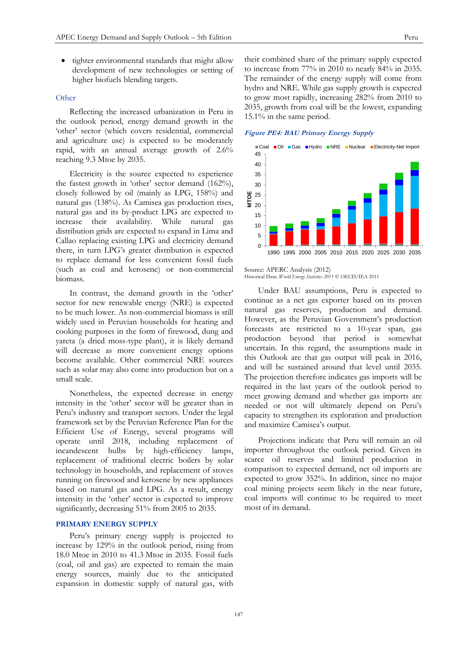tighter environmental standards that might allow development of new technologies or setting of higher biofuels blending targets.

# **Other**

Reflecting the increased urbanization in Peru in the outlook period, energy demand growth in the 'other' sector (which covers residential, commercial and agriculture use) is expected to be moderately rapid, with an annual average growth of 2.6% reaching 9.3 Mtoe by 2035.

Electricity is the source expected to experience the fastest growth in 'other' sector demand (162%), closely followed by oil (mainly as LPG, 158%) and natural gas (138%). As Camisea gas production rises, natural gas and its by-product LPG are expected to increase their availability. While natural gas distribution grids are expected to expand in Lima and Callao replacing existing LPG and electricity demand there, in turn LPG's greater distribution is expected to replace demand for less convenient fossil fuels (such as coal and kerosene) or non-commercial biomass.

In contrast, the demand growth in the 'other' sector for new renewable energy (NRE) is expected to be much lower. As non-commercial biomass is still widely used in Peruvian households for heating and cooking purposes in the form of firewood, dung and yareta (a dried moss-type plant), it is likely demand will decrease as more convenient energy options become available. Other commercial NRE sources such as solar may also come into production but on a small scale.

Nonetheless, the expected decrease in energy intensity in the 'other' sector will be greater than in Peru's industry and transport sectors. Under the legal framework set by the Peruvian Reference Plan for the Efficient Use of Energy, several programs will operate until 2018, including replacement of incandescent bulbs by high-efficiency lamps, replacement of traditional electric boilers by solar technology in households, and replacement of stoves running on firewood and kerosene by new appliances based on natural gas and LPG. As a result, energy intensity in the 'other' sector is expected to improve significantly, decreasing 51% from 2005 to 2035.

## **PRIMARY ENERGY SUPPLY**

Peru's primary energy supply is projected to increase by 129% in the outlook period, rising from 18.0 Mtoe in 2010 to 41.3 Mtoe in 2035. Fossil fuels (coal, oil and gas) are expected to remain the main energy sources, mainly due to the anticipated expansion in domestic supply of natural gas, with

their combined share of the primary supply expected to increase from 77% in 2010 to nearly 84% in 2035. The remainder of the energy supply will come from hydro and NRE. While gas supply growth is expected to grow most rapidly, increasing 282% from 2010 to 2035, growth from coal will be the lowest, expanding 15.1% in the same period.

#### **Figure PE4: BAU Primary Energy Supply**



#### Source: APERC Analysis (2012) Historical Data: *World Energy Statistics 2011* © OECD/IEA 2011

Under BAU assumptions, Peru is expected to continue as a net gas exporter based on its proven natural gas reserves, production and demand. However, as the Peruvian Government's production forecasts are restricted to a 10-year span, gas production beyond that period is somewhat uncertain. In this regard, the assumptions made in this Outlook are that gas output will peak in 2016, and will be sustained around that level until 2035. The projection therefore indicates gas imports will be required in the last years of the outlook period to meet growing demand and whether gas imports are needed or not will ultimately depend on Peru's capacity to strengthen its exploration and production and maximize Camisea's output.

Projections indicate that Peru will remain an oil importer throughout the outlook period. Given its scarce oil reserves and limited production in comparison to expected demand, net oil imports are expected to grow 352%. In addition, since no major coal mining projects seem likely in the near future, coal imports will continue to be required to meet most of its demand.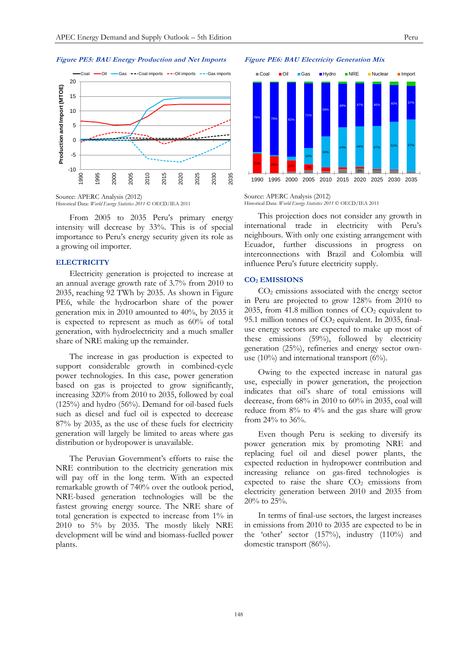

Source: APERC Analysis (2012) Historical Data: *World Energy Statistics 2011* © OECD/IEA 2011

From 2005 to 2035 Peru's primary energy intensity will decrease by 33%. This is of special importance to Peru's energy security given its role as a growing oil importer.

#### **ELECTRICITY**

Electricity generation is projected to increase at an annual average growth rate of 3.7% from 2010 to 2035, reaching 92 TWh by 2035. As shown in Figure PE6, while the hydrocarbon share of the power generation mix in 2010 amounted to 40%, by 2035 it is expected to represent as much as 60% of total generation, with hydroelectricity and a much smaller share of NRE making up the remainder.

The increase in gas production is expected to support considerable growth in combined-cycle power technologies. In this case, power generation based on gas is projected to grow significantly, increasing 320% from 2010 to 2035, followed by coal (125%) and hydro (56%). Demand for oil-based fuels such as diesel and fuel oil is expected to decrease 87% by 2035, as the use of these fuels for electricity generation will largely be limited to areas where gas distribution or hydropower is unavailable.

The Peruvian Government's efforts to raise the NRE contribution to the electricity generation mix will pay off in the long term. With an expected remarkable growth of 740% over the outlook period, NRE-based generation technologies will be the fastest growing energy source. The NRE share of total generation is expected to increase from 1% in 2010 to 5% by 2035. The mostly likely NRE development will be wind and biomass-fuelled power plants.

#### **Figure PE6: BAU Electricity Generation Mix**



#### Source: APERC Analysis (2012) Historical Data: *World Energy Statistics 2011* © OECD/IEA 2011

This projection does not consider any growth in international trade in electricity with Peru's neighbours. With only one existing arrangement with Ecuador, further discussions in progress on interconnections with Brazil and Colombia will influence Peru's future electricity supply.

#### **CO<sup>2</sup> EMISSIONS**

CO<sup>2</sup> emissions associated with the energy sector in Peru are projected to grow 128% from 2010 to 2035, from 41.8 million tonnes of  $CO<sub>2</sub>$  equivalent to 95.1 million tonnes of  $CO<sub>2</sub>$  equivalent. In 2035, finaluse energy sectors are expected to make up most of these emissions (59%), followed by electricity generation (25%), refineries and energy sector ownuse (10%) and international transport (6%).

Owing to the expected increase in natural gas use, especially in power generation, the projection indicates that oil's share of total emissions will decrease, from 68% in 2010 to 60% in 2035, coal will reduce from 8% to 4% and the gas share will grow from 24% to 36%.

Even though Peru is seeking to diversify its power generation mix by promoting NRE and replacing fuel oil and diesel power plants, the expected reduction in hydropower contribution and increasing reliance on gas-fired technologies is expected to raise the share  $CO<sub>2</sub>$  emissions from electricity generation between 2010 and 2035 from 20% to 25%.

In terms of final-use sectors, the largest increases in emissions from 2010 to 2035 are expected to be in the 'other' sector (157%), industry (110%) and domestic transport (86%).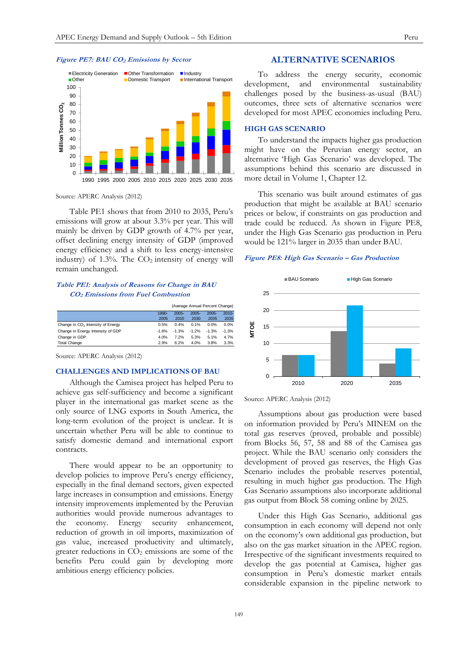#### **Figure PE7: BAU CO<sup>2</sup> Emissions by Sector**



Source: APERC Analysis (2012)

Table PE1 shows that from 2010 to 2035, Peru's emissions will grow at about 3.3% per year. This will mainly be driven by GDP growth of 4.7% per year, offset declining energy intensity of GDP (improved energy efficiency and a shift to less energy-intensive industry) of  $1.3\%$ . The  $CO<sub>2</sub>$  intensity of energy will remain unchanged.

# **Table PE1: Analysis of Reasons for Change in BAU CO2 Emissions from Fuel Combustion**

|                                               | (Average Annual Percent Change) |          |          |          |          |
|-----------------------------------------------|---------------------------------|----------|----------|----------|----------|
|                                               | $1990 -$                        | $2005 -$ | $2005 -$ | $2005 -$ | $2010 -$ |
|                                               | 2005                            | 2010     | 2030     | 2035     | 2035     |
| Change in CO <sub>2</sub> Intensity of Energy | 0.5%                            | 0.4%     | 0.1%     | 0.0%     | 0.0%     |
| Change in Energy Intensity of GDP             | $-1.6%$                         | $-1.3%$  | $-1.2%$  | $-1.3%$  | $-1.3%$  |
| Change in GDP                                 | 4.0%                            | 7.2%     | 5.3%     | 5.1%     | 4.7%     |
| <b>Total Change</b>                           | 2.9%                            | 6.2%     | 4.0%     | 3.8%     | 3.3%     |

Source: APERC Analysis (2012)

### **CHALLENGES AND IMPLICATIONS OF BAU**

Although the Camisea project has helped Peru to achieve gas self-sufficiency and become a significant player in the international gas market scene as the only source of LNG exports in South America, the long-term evolution of the project is unclear. It is uncertain whether Peru will be able to continue to satisfy domestic demand and international export contracts.

There would appear to be an opportunity to develop policies to improve Peru's energy efficiency, especially in the final demand sectors, given expected large increases in consumption and emissions. Energy intensity improvements implemented by the Peruvian authorities would provide numerous advantages to the economy. Energy security enhancement, reduction of growth in oil imports, maximization of gas value, increased productivity and ultimately, greater reductions in CO<sub>2</sub> emissions are some of the benefits Peru could gain by developing more ambitious energy efficiency policies.

# **ALTERNATIVE SCENARIOS**

To address the energy security, economic development, and environmental sustainability challenges posed by the business-as-usual (BAU) outcomes, three sets of alternative scenarios were developed for most APEC economies including Peru.

#### **HIGH GAS SCENARIO**

To understand the impacts higher gas production might have on the Peruvian energy sector, an alternative 'High Gas Scenario' was developed. The assumptions behind this scenario are discussed in more detail in Volume 1, Chapter 12.

This scenario was built around estimates of gas production that might be available at BAU scenario prices or below, if constraints on gas production and trade could be reduced. As shown in Figure PE8, under the High Gas Scenario gas production in Peru would be 121% larger in 2035 than under BAU.

## **Figure PE8: High Gas Scenario – Gas Production**



Source: APERC Analysis (2012)

Assumptions about gas production were based on information provided by Peru's MINEM on the total gas reserves (proved, probable and possible) from Blocks 56, 57, 58 and 88 of the Camisea gas project. While the BAU scenario only considers the development of proved gas reserves, the High Gas Scenario includes the probable reserves potential, resulting in much higher gas production. The High Gas Scenario assumptions also incorporate additional gas output from Block 58 coming online by 2025.

Under this High Gas Scenario, additional gas consumption in each economy will depend not only on the economy's own additional gas production, but also on the gas market situation in the APEC region. Irrespective of the significant investments required to develop the gas potential at Camisea, higher gas consumption in Peru's domestic market entails considerable expansion in the pipeline network to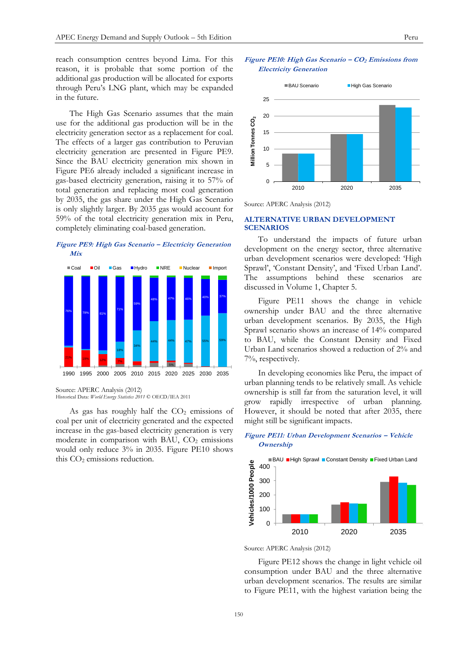reach consumption centres beyond Lima. For this reason, it is probable that some portion of the additional gas production will be allocated for exports through Peru's LNG plant, which may be expanded in the future.

The High Gas Scenario assumes that the main use for the additional gas production will be in the electricity generation sector as a replacement for coal. The effects of a larger gas contribution to Peruvian electricity generation are presented in Figure PE9. Since the BAU electricity generation mix shown in Figure PE6 already included a significant increase in gas-based electricity generation, raising it to 57% of total generation and replacing most coal generation by 2035, the gas share under the High Gas Scenario is only slightly larger. By 2035 gas would account for 59% of the total electricity generation mix in Peru, completely eliminating coal-based generation.





Source: APERC Analysis (2012) Historical Data: *World Energy Statistics 2011* © OECD/IEA 2011

As gas has roughly half the  $CO<sub>2</sub>$  emissions of coal per unit of electricity generated and the expected increase in the gas-based electricity generation is very moderate in comparison with BAU,  $CO<sub>2</sub>$  emissions would only reduce 3% in 2035. Figure PE10 shows this  $CO<sub>2</sub>$  emissions reduction.





Source: APERC Analysis (2012)

#### **ALTERNATIVE URBAN DEVELOPMENT SCENARIOS**

To understand the impacts of future urban development on the energy sector, three alternative urban development scenarios were developed: 'High Sprawl', 'Constant Density', and 'Fixed Urban Land'. The assumptions behind these scenarios are discussed in Volume 1, Chapter 5.

Figure PE11 shows the change in vehicle ownership under BAU and the three alternative urban development scenarios. By 2035, the High Sprawl scenario shows an increase of 14% compared to BAU, while the Constant Density and Fixed Urban Land scenarios showed a reduction of 2% and 7%, respectively.

In developing economies like Peru, the impact of urban planning tends to be relatively small. As vehicle ownership is still far from the saturation level, it will grow rapidly irrespective of urban planning. However, it should be noted that after 2035, there might still be significant impacts.



# **Figure PE11: Urban Development Scenarios – Vehicle Ownership**

Source: APERC Analysis (2012)

Figure PE12 shows the change in light vehicle oil consumption under BAU and the three alternative urban development scenarios. The results are similar to Figure PE11, with the highest variation being the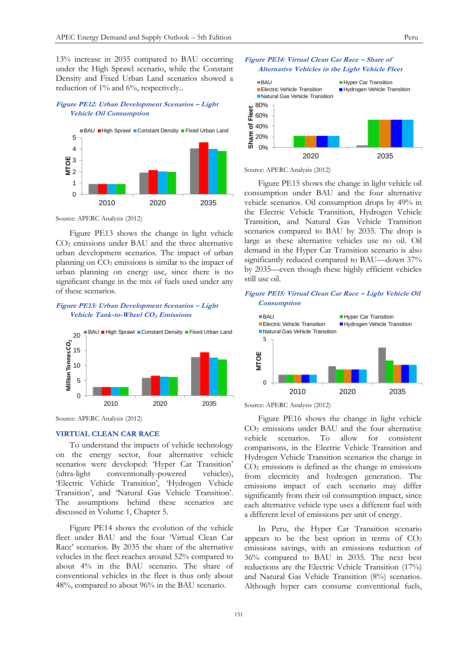13% increase in 2035 compared to BAU occurring under the High Sprawl scenario, while the Constant Density and Fixed Urban Land scenarios showed a reduction of 1% and 6%, respectively..

# **Figure PE12: Urban Development Scenarios – Light Vehicle Oil Consumption**



Source: APERC Analysis (2012)

Figure PE13 shows the change in light vehicle CO<sup>2</sup> emissions under BAU and the three alternative urban development scenarios. The impact of urban planning on  $CO<sub>2</sub>$  emissions is similar to the impact of urban planning on energy use, since there is no significant change in the mix of fuels used under any of these scenarios.

# **Figure PE13: Urban Development Scenarios – Light Vehicle Tank-to-Wheel CO2 Emissions**



Source: APERC Analysis (2012)

#### **VIRTUAL CLEAN CAR RACE**

To understand the impacts of vehicle technology on the energy sector, four alternative vehicle scenarios were developed: 'Hyper Car Transition' (ultra-light conventionally-powered vehicles), 'Electric Vehicle Transition', 'Hydrogen Vehicle Transition', and 'Natural Gas Vehicle Transition'. The assumptions behind these scenarios are discussed in Volume 1, Chapter 5.

Figure PE14 shows the evolution of the vehicle fleet under BAU and the four 'Virtual Clean Car Race' scenarios. By 2035 the share of the alternative vehicles in the fleet reaches around 52% compared to about 4% in the BAU scenario. The share of conventional vehicles in the fleet is thus only about 48%, compared to about 96% in the BAU scenario.





Source: APERC Analysis (2012)

Figure PE15 shows the change in light vehicle oil consumption under BAU and the four alternative vehicle scenarios. Oil consumption drops by 49% in the Electric Vehicle Transition, Hydrogen Vehicle Transition, and Natural Gas Vehicle Transition scenarios compared to BAU by 2035. The drop is large as these alternative vehicles use no oil. Oil demand in the Hyper Car Transition scenario is also significantly reduced compared to BAU—down 37% by 2035—even though these highly efficient vehicles still use oil.

## **Figure PE15: Virtual Clean Car Race – Light Vehicle Oil Consumption**



Source: APERC Analysis (2012)

Figure PE16 shows the change in light vehicle CO<sup>2</sup> emissions under BAU and the four alternative vehicle scenarios. To allow for consistent comparisons, in the Electric Vehicle Transition and Hydrogen Vehicle Transition scenarios the change in  $CO<sub>2</sub>$  emissions is defined as the change in emissions from electricity and hydrogen generation. The emissions impact of each scenario may differ significantly from their oil consumption impact, since each alternative vehicle type uses a different fuel with a different level of emissions per unit of energy.

In Peru, the Hyper Car Transition scenario appears to be the best option in terms of  $CO<sub>2</sub>$ emissions savings, with an emissions reduction of 36% compared to BAU in 2035. The next best reductions are the Electric Vehicle Transition (17%) and Natural Gas Vehicle Transition (8%) scenarios. Although hyper cars consume conventional fuels,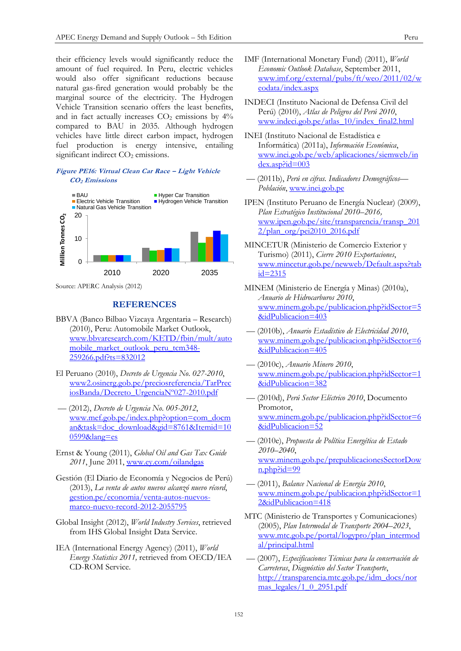their efficiency levels would significantly reduce the amount of fuel required. In Peru, electric vehicles would also offer significant reductions because natural gas-fired generation would probably be the marginal source of the electricity. The Hydrogen Vehicle Transition scenario offers the least benefits, and in fact actually increases  $CO<sub>2</sub>$  emissions by  $4\%$ compared to BAU in 2035. Although hydrogen vehicles have little direct carbon impact, hydrogen fuel production is energy intensive, entailing significant indirect CO<sub>2</sub> emissions.

## **Figure PE16: Virtual Clean Car Race – Light Vehicle CO2 Emissions**



Source: APERC Analysis (2012)

# **REFERENCES**

- BBVA (Banco Bilbao Vizcaya Argentaria Research) (2010), Peru: Automobile Market Outlook, [www.bbvaresearch.com/KETD/fbin/mult/auto](http://www.bbvaresearch.com/KETD/fbin/mult/automobile_market_outlook_peru_tcm348-259266.pdf?ts=832012) [mobile\\_market\\_outlook\\_peru\\_tcm348-](http://www.bbvaresearch.com/KETD/fbin/mult/automobile_market_outlook_peru_tcm348-259266.pdf?ts=832012) [259266.pdf?ts=832012](http://www.bbvaresearch.com/KETD/fbin/mult/automobile_market_outlook_peru_tcm348-259266.pdf?ts=832012)
- El Peruano (2010), *Decreto de Urgencia No. 027-2010*, [www2.osinerg.gob.pe/preciosreferencia/TarPrec](http://www2.osinerg.gob.pe/preciosreferencia/TarPreciosBanda/Decreto_UrgenciaN%C2%BA027-2010.pdf) [iosBanda/Decreto\\_UrgenciaNº027-2010.pdf](http://www2.osinerg.gob.pe/preciosreferencia/TarPreciosBanda/Decreto_UrgenciaN%C2%BA027-2010.pdf)
- –– (2012), *Decreto de Urgencia No. 005-2012*, [www.mef.gob.pe/index.php?option=com\\_docm](http://www.mef.gob.pe/index.php?option=com_docman&task=doc_download&gid=8761&Itemid=100599&lang=es) [an&task=doc\\_download&gid=8761&Itemid=10](http://www.mef.gob.pe/index.php?option=com_docman&task=doc_download&gid=8761&Itemid=100599&lang=es) [0599&lang=es](http://www.mef.gob.pe/index.php?option=com_docman&task=doc_download&gid=8761&Itemid=100599&lang=es)
- Ernst & Young (2011), *Global Oil and Gas Tax Guide 2011*, June 2011, [www.ey.com/oilandgas](http://www.ey.com/oilandgas)
- Gestión (El Diario de Economía y Negocios de Perú) (2013), *La venta de autos nuevos alcanzó nuevo récord*, [gestion.pe/economia/venta-autos-nuevos](http://gestion.pe/economia/venta-autos-nuevos-marco-nuevo-record-2012-2055795)[marco-nuevo-record-2012-2055795](http://gestion.pe/economia/venta-autos-nuevos-marco-nuevo-record-2012-2055795)
- Global Insight (2012), *World Industry Services*, retrieved from IHS Global Insight Data Service.
- IEA (International Energy Agency) (2011), *World Energy Statistics 2011,* retrieved from OECD/IEA CD-ROM Service.
- IMF (International Monetary Fund) (2011), *World Economic Outlook Database*, September 2011, [www.imf.org/external/pubs/ft/weo/2011/02/w](http://www.imf.org/external/pubs/ft/weo/2011/02/weodata/index.aspx) [eodata/index.aspx](http://www.imf.org/external/pubs/ft/weo/2011/02/weodata/index.aspx)
- INDECI (Instituto Nacional de Defensa Civil del Perú) (2010), *Atlas de Peligros del Perú 2010*, [www.indeci.gob.pe/atlas\\_10/index\\_final2.html](http://www.indeci.gob.pe/atlas_10/index_final2.html)
- INEI (Instituto Nacional de Estadística e Informática) (2011a), *Información Económica*, [www.inei.gob.pe/web/aplicaciones/siemweb/in](http://www.inei.gob.pe/web/aplicaciones/siemweb/index.asp?id=003) [dex.asp?id=003](http://www.inei.gob.pe/web/aplicaciones/siemweb/index.asp?id=003)
- –– (2011b), *Perú en cifras. Indicadores Demográficos— Población*, [www.inei.gob.pe](http://www.inei.gob.pe/)
- IPEN (Instituto Peruano de Energía Nuclear) (2009), *Plan Estratégico Institucional 2010–2016,* [www.ipen.gob.pe/site/transparencia/transp\\_201](http://www.ipen.gob.pe/site/transparencia/transp_2012/plan_org/pei2010_2016.pdf) [2/plan\\_org/pei2010\\_2016.pdf](http://www.ipen.gob.pe/site/transparencia/transp_2012/plan_org/pei2010_2016.pdf)
- MINCETUR (Ministerio de Comercio Exterior y Turismo) (2011), *Cierre 2010 Exportaciones*, [www.mincetur.gob.pe/newweb/Default.aspx?tab](http://www.mincetur.gob.pe/newweb/Default.aspx?tabid=2315) [id=2315](http://www.mincetur.gob.pe/newweb/Default.aspx?tabid=2315)
- MINEM (Ministerio de Energía y Minas) (2010a), *Anuario de Hidrocarburos 2010*, [www.minem.gob.pe/publicacion.php?idSector=5](http://www.minem.gob.pe/publicacion.php?idSector=5&idPublicacion=403) [&idPublicacion=403](http://www.minem.gob.pe/publicacion.php?idSector=5&idPublicacion=403)
- –– (2010b), *Anuario Estadístico de Electricidad 2010*, [www.minem.gob.pe/publicacion.php?idSector=6](http://www.minem.gob.pe/publicacion.php?idSector=6&idPublicacion=405) [&idPublicacion=405](http://www.minem.gob.pe/publicacion.php?idSector=6&idPublicacion=405)
- –– (2010c), *Anuario Minero 2010*, [www.minem.gob.pe/publicacion.php?idSector=1](http://www.minem.gob.pe/publicacion.php?idSector=1&idPublicacion=382) [&idPublicacion=382](http://www.minem.gob.pe/publicacion.php?idSector=1&idPublicacion=382)
- –– (2010d), *Perú Sector Eléctrico 2010*, Documento Promotor, [www.minem.gob.pe/publicacion.php?idSector=6](http://www.minem.gob.pe/publicacion.php?idSector=6&idPublicacion=52) [&idPublicacion=52](http://www.minem.gob.pe/publicacion.php?idSector=6&idPublicacion=52)
- –– (2010e), *Propuesta de Política Energética de Estado 2010–2040*, [www.minem.gob.pe/prepublicacionesSectorDow](http://www.minem.gob.pe/prepublicacionesSectorDown.php?id=99) [n.php?id=99](http://www.minem.gob.pe/prepublicacionesSectorDown.php?id=99)
- –– (2011), *Balance Nacional de Energía 2010*, [www.minem.gob.pe/publicacion.php?idSector=1](http://www.minem.gob.pe/publicacion.php?idSector=12&idPublicacion=418) [2&idPublicacion=418](http://www.minem.gob.pe/publicacion.php?idSector=12&idPublicacion=418)
- MTC (Ministerio de Transportes y Comunicaciones) (2005), *Plan Intermodal de Transporte 2004–2023*, [www.mtc.gob.pe/portal/logypro/plan\\_intermod](http://www.mtc.gob.pe/portal/logypro/plan_intermodal/principal.html) [al/principal.html](http://www.mtc.gob.pe/portal/logypro/plan_intermodal/principal.html)
- –– (2007), *Especificaciones Técnicas para la conservación de Carreteras*, *Diagnóstico del Sector Transporte*, [http://transparencia.mtc.gob.pe/idm\\_docs/nor](http://transparencia.mtc.gob.pe/idm_docs/normas_legales/1_0_2951.pdf) mas  $legales/1$  0 2951.pdf